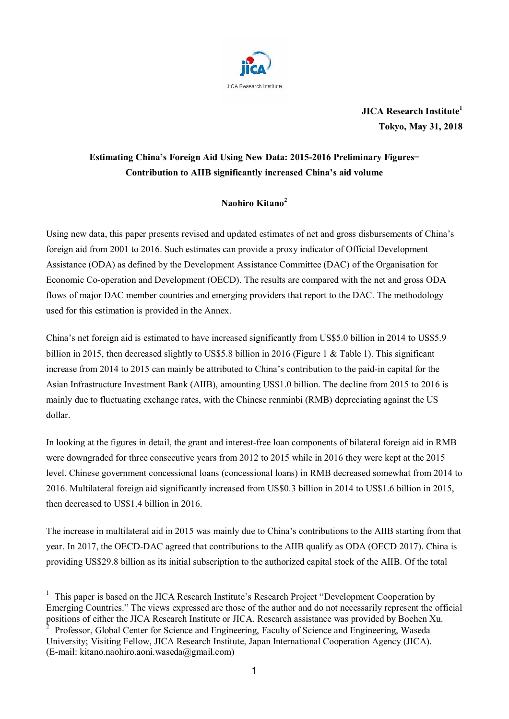

**JICA Research Institute<sup>1</sup> Tokyo, May 31, 2018**

# **Estimating China's Foreign Aid Using New Data: 2015-2016 Preliminary Figures**— **Contribution to AIIB significantly increased China's aid volume**

# **Naohiro Kitano<sup>2</sup>**

Using new data, this paper presents revised and updated estimates of net and gross disbursements of China's foreign aid from 2001 to 2016. Such estimates can provide a proxy indicator of Official Development Assistance (ODA) as defined by the Development Assistance Committee (DAC) of the Organisation for Economic Co-operation and Development (OECD). The results are compared with the net and gross ODA flows of major DAC member countries and emerging providers that report to the DAC. The methodology used for this estimation is provided in the Annex.

China's net foreign aid is estimated to have increased significantly from US\$5.0 billion in 2014 to US\$5.9 billion in 2015, then decreased slightly to US\$5.8 billion in 2016 (Figure 1 & Table 1). This significant increase from 2014 to 2015 can mainly be attributed to China's contribution to the paid-in capital for the Asian Infrastructure Investment Bank (AIIB), amounting US\$1.0 billion. The decline from 2015 to 2016 is mainly due to fluctuating exchange rates, with the Chinese renminbi (RMB) depreciating against the US dollar.

In looking at the figures in detail, the grant and interest-free loan components of bilateral foreign aid in RMB were downgraded for three consecutive years from 2012 to 2015 while in 2016 they were kept at the 2015 level. Chinese government concessional loans (concessional loans) in RMB decreased somewhat from 2014 to 2016. Multilateral foreign aid significantly increased from US\$0.3 billion in 2014 to US\$1.6 billion in 2015, then decreased to US\$1.4 billion in 2016.

The increase in multilateral aid in 2015 was mainly due to China's contributions to the AIIB starting from that year. In 2017, the OECD-DAC agreed that contributions to the AIIB qualify as ODA (OECD 2017). China is providing US\$29.8 billion as its initial subscription to the authorized capital stock of the AIIB. Of the total

1

<sup>&</sup>lt;sup>1</sup> This paper is based on the JICA Research Institute's Research Project "Development Cooperation by Emerging Countries." The views expressed are those of the author and do not necessarily represent the official positions of either the JICA Research Institute or JICA. Research assistance was provided by Bochen Xu.

Professor, Global Center for Science and Engineering, Faculty of Science and Engineering, Waseda University; Visiting Fellow, JICA Research Institute, Japan International Cooperation Agency (JICA). (E-mail: kitano.naohiro.aoni.waseda@gmail.com)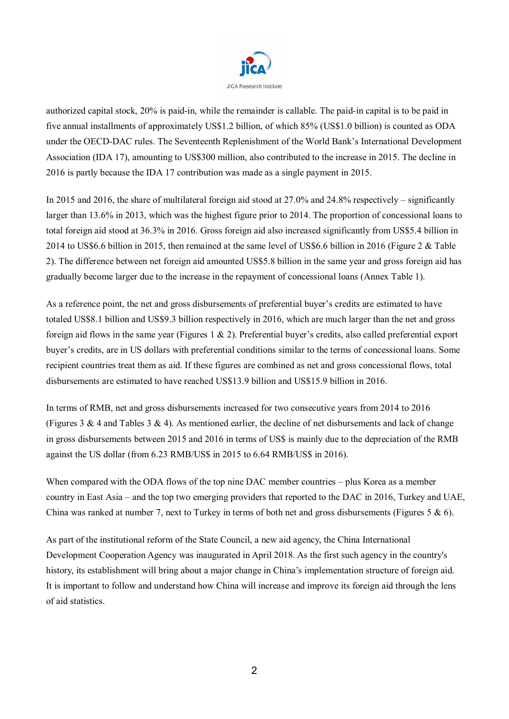

authorized capital stock, 20% is paid-in, while the remainder is callable. The paid-in capital is to be paid in five annual installments of approximately US\$1.2 billion, of which 85% (US\$1.0 billion) is counted as ODA under the OECD-DAC rules. The Seventeenth Replenishment of the World Bank's International Development Association (IDA 17), amounting to US\$300 million, also contributed to the increase in 2015. The decline in 2016 is partly because the IDA 17 contribution was made as a single payment in 2015.

In 2015 and 2016, the share of multilateral foreign aid stood at 27.0% and 24.8% respectively – significantly larger than 13.6% in 2013, which was the highest figure prior to 2014. The proportion of concessional loans to total foreign aid stood at 36.3% in 2016. Gross foreign aid also increased significantly from US\$5.4 billion in 2014 to US\$6.6 billion in 2015, then remained at the same level of US\$6.6 billion in 2016 (Figure 2 & Table 2). The difference between net foreign aid amounted US\$5.8 billion in the same year and gross foreign aid has gradually become larger due to the increase in the repayment of concessional loans (Annex Table 1).

As a reference point, the net and gross disbursements of preferential buyer's credits are estimated to have totaled US\$8.1 billion and US\$9.3 billion respectively in 2016, which are much larger than the net and gross foreign aid flows in the same year (Figures 1 & 2). Preferential buyer's credits, also called preferential export buyer's credits, are in US dollars with preferential conditions similar to the terms of concessional loans. Some recipient countries treat them as aid. If these figures are combined as net and gross concessional flows, total disbursements are estimated to have reached US\$13.9 billion and US\$15.9 billion in 2016.

In terms of RMB, net and gross disbursements increased for two consecutive years from 2014 to 2016 (Figures 3  $\&$  4 and Tables 3  $\&$  4). As mentioned earlier, the decline of net disbursements and lack of change in gross disbursements between 2015 and 2016 in terms of US\$ is mainly due to the depreciation of the RMB against the US dollar (from 6.23 RMB/US\$ in 2015 to 6.64 RMB/US\$ in 2016).

When compared with the ODA flows of the top nine DAC member countries – plus Korea as a member country in East Asia – and the top two emerging providers that reported to the DAC in 2016, Turkey and UAE, China was ranked at number 7, next to Turkey in terms of both net and gross disbursements (Figures 5  $\&$  6).

As part of the institutional reform of the State Council, a new aid agency, the China International Development Cooperation Agency was inaugurated in April 2018. As the first such agency in the country's history, its establishment will bring about a major change in China's implementation structure of foreign aid. It is important to follow and understand how China will increase and improve its foreign aid through the lens of aid statistics.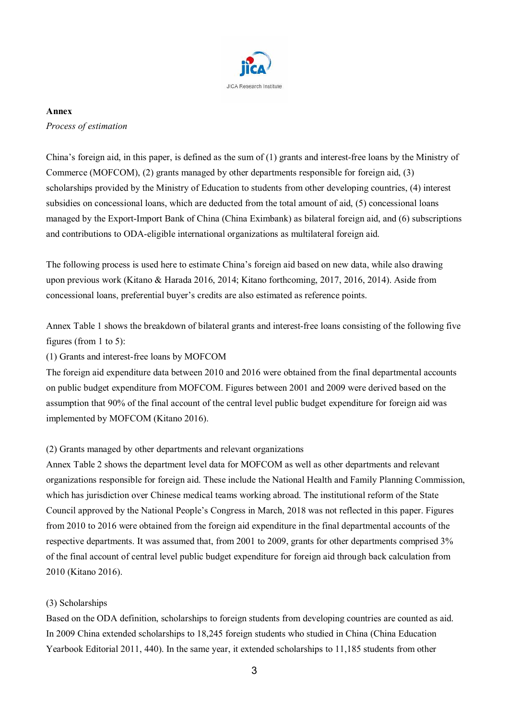

#### **Annex**

### *Process of estimation*

China's foreign aid, in this paper, is defined as the sum of (1) grants and interest-free loans by the Ministry of Commerce (MOFCOM), (2) grants managed by other departments responsible for foreign aid, (3) scholarships provided by the Ministry of Education to students from other developing countries, (4) interest subsidies on concessional loans, which are deducted from the total amount of aid, (5) concessional loans managed by the Export-Import Bank of China (China Eximbank) as bilateral foreign aid, and (6) subscriptions and contributions to ODA-eligible international organizations as multilateral foreign aid.

The following process is used here to estimate China's foreign aid based on new data, while also drawing upon previous work (Kitano & Harada 2016, 2014; Kitano forthcoming, 2017, 2016, 2014). Aside from concessional loans, preferential buyer's credits are also estimated as reference points.

Annex Table 1 shows the breakdown of bilateral grants and interest-free loans consisting of the following five figures (from 1 to 5):

## (1) Grants and interest-free loans by MOFCOM

The foreign aid expenditure data between 2010 and 2016 were obtained from the final departmental accounts on public budget expenditure from MOFCOM. Figures between 2001 and 2009 were derived based on the assumption that 90% of the final account of the central level public budget expenditure for foreign aid was implemented by MOFCOM (Kitano 2016).

### (2) Grants managed by other departments and relevant organizations

Annex Table 2 shows the department level data for MOFCOM as well as other departments and relevant organizations responsible for foreign aid. These include the National Health and Family Planning Commission, which has jurisdiction over Chinese medical teams working abroad. The institutional reform of the State Council approved by the National People's Congress in March, 2018 was not reflected in this paper. Figures from 2010 to 2016 were obtained from the foreign aid expenditure in the final departmental accounts of the respective departments. It was assumed that, from 2001 to 2009, grants for other departments comprised 3% of the final account of central level public budget expenditure for foreign aid through back calculation from 2010 (Kitano 2016).

### (3) Scholarships

Based on the ODA definition, scholarships to foreign students from developing countries are counted as aid. In 2009 China extended scholarships to 18,245 foreign students who studied in China (China Education Yearbook Editorial 2011, 440). In the same year, it extended scholarships to 11,185 students from other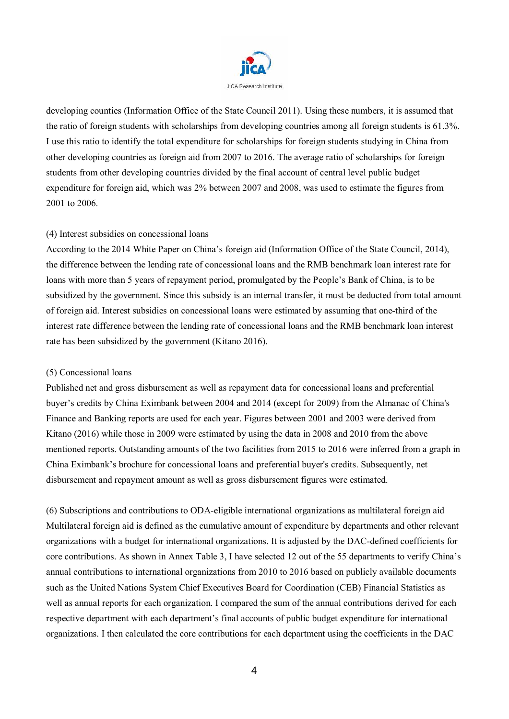

developing counties (Information Office of the State Council 2011). Using these numbers, it is assumed that the ratio of foreign students with scholarships from developing countries among all foreign students is 61.3%. I use this ratio to identify the total expenditure for scholarships for foreign students studying in China from other developing countries as foreign aid from 2007 to 2016. The average ratio of scholarships for foreign students from other developing countries divided by the final account of central level public budget expenditure for foreign aid, which was 2% between 2007 and 2008, was used to estimate the figures from 2001 to 2006.

### (4) Interest subsidies on concessional loans

According to the 2014 White Paper on China's foreign aid (Information Office of the State Council, 2014), the difference between the lending rate of concessional loans and the RMB benchmark loan interest rate for loans with more than 5 years of repayment period, promulgated by the People's Bank of China, is to be subsidized by the government. Since this subsidy is an internal transfer, it must be deducted from total amount of foreign aid. Interest subsidies on concessional loans were estimated by assuming that one-third of the interest rate difference between the lending rate of concessional loans and the RMB benchmark loan interest rate has been subsidized by the government (Kitano 2016).

### (5) Concessional loans

Published net and gross disbursement as well as repayment data for concessional loans and preferential buyer's credits by China Eximbank between 2004 and 2014 (except for 2009) from the Almanac of China's Finance and Banking reports are used for each year. Figures between 2001 and 2003 were derived from Kitano (2016) while those in 2009 were estimated by using the data in 2008 and 2010 from the above mentioned reports. Outstanding amounts of the two facilities from 2015 to 2016 were inferred from a graph in China Eximbank's brochure for concessional loans and preferential buyer's credits. Subsequently, net disbursement and repayment amount as well as gross disbursement figures were estimated.

(6) Subscriptions and contributions to ODA-eligible international organizations as multilateral foreign aid Multilateral foreign aid is defined as the cumulative amount of expenditure by departments and other relevant organizations with a budget for international organizations. It is adjusted by the DAC-defined coefficients for core contributions. As shown in Annex Table 3, I have selected 12 out of the 55 departments to verify China's annual contributions to international organizations from 2010 to 2016 based on publicly available documents such as the United Nations System Chief Executives Board for Coordination (CEB) Financial Statistics as well as annual reports for each organization. I compared the sum of the annual contributions derived for each respective department with each department's final accounts of public budget expenditure for international organizations. I then calculated the core contributions for each department using the coefficients in the DAC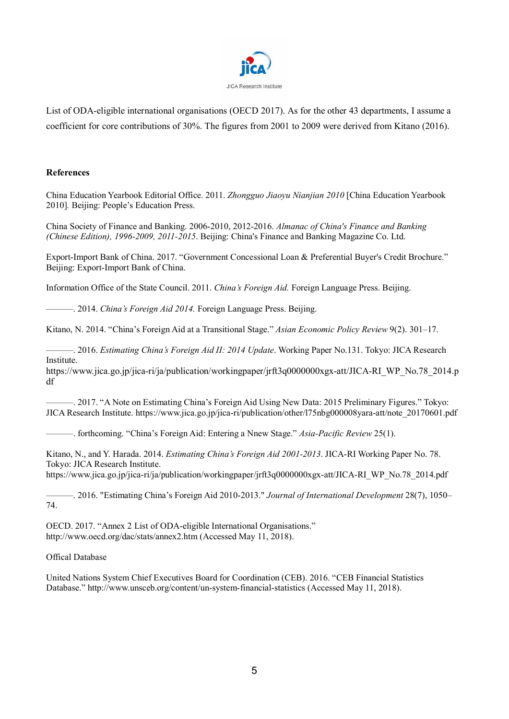

List of ODA-eligible international organisations (OECD 2017). As for the other 43 departments, I assume a coefficient for core contributions of 30%. The figures from 2001 to 2009 were derived from Kitano (2016).

#### **References**

China Education Yearbook Editorial Office. 2011. *Zhongguo Jiaoyu Nianjian 2010* [China Education Yearbook 2010]*.* Beijing: People's Education Press.

China Society of Finance and Banking. 2006-2010, 2012-2016. *Almanac of China's Finance and Banking (Chinese Edition), 1996-2009, 2011-2015*. Beijing: China's Finance and Banking Magazine Co. Ltd.

Export-Import Bank of China. 2017. "Government Concessional Loan & Preferential Buyer's Credit Brochure." Beijing: Export-Import Bank of China.

Information Office of the State Council. 2011. *China's Foreign Aid.* Foreign Language Press. Beijing.

———. 2014. *China's Foreign Aid 2014.* Foreign Language Press. Beijing.

Kitano, N. 2014. "China's Foreign Aid at a Transitional Stage." *Asian Economic Policy Review* 9(2). 301–17.

———. 2016. *Estimating China's Foreign Aid II: 2014 Update*. Working Paper No.131. Tokyo: JICA Research Institute.

https://www.jica.go.jp/jica-ri/ja/publication/workingpaper/jrft3q0000000xgx-att/JICA-RI\_WP\_No.78\_2014.p df

———. 2017. "A Note on Estimating China's Foreign Aid Using New Data: 2015 Preliminary Figures." Tokyo: JICA Research Institute. https://www.jica.go.jp/jica-ri/publication/other/l75nbg000008yara-att/note\_20170601.pdf

———. forthcoming. "China's Foreign Aid: Entering a Nnew Stage." *Asia-Pacific Review* 25(1).

Kitano, N., and Y. Harada. 2014. *Estimating China's Foreign Aid 2001-2013*. JICA-RI Working Paper No. 78. Tokyo: JICA Research Institute.

https://www.jica.go.jp/jica-ri/ja/publication/workingpaper/jrft3q0000000xgx-att/JICA-RI\_WP\_No.78\_2014.pdf

———. 2016. "Estimating China's Foreign Aid 2010-2013." *Journal of International Development* 28(7), 1050– 74.

OECD. 2017. "Annex 2 List of ODA-eligible International Organisations." http://www.oecd.org/dac/stats/annex2.htm (Accessed May 11, 2018).

#### Offical Database

United Nations System Chief Executives Board for Coordination (CEB). 2016. "CEB Financial Statistics Database." http://www.unsceb.org/content/un-system-financial-statistics (Accessed May 11, 2018).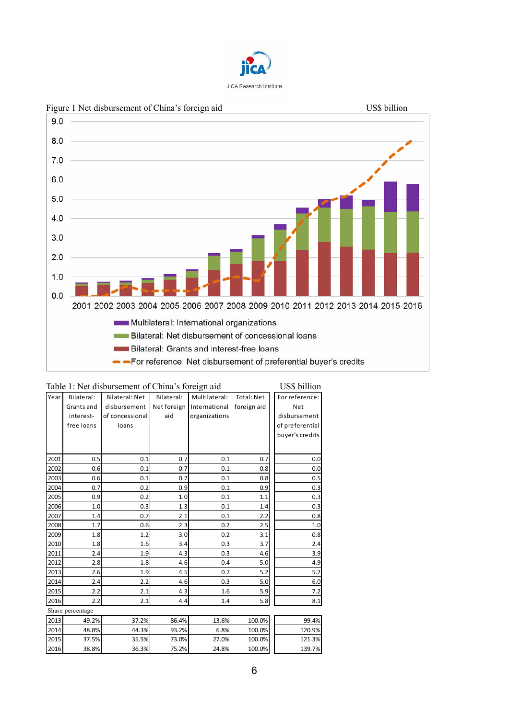



| Table 1: Net disbursement of China's foreign aid | US\$ billion     |                       |             |               |                   |                 |
|--------------------------------------------------|------------------|-----------------------|-------------|---------------|-------------------|-----------------|
| Year                                             | Bilateral:       | <b>Bilateral: Net</b> | Bilateral:  | Multilateral: | <b>Total: Net</b> | For reference:  |
|                                                  | Grants and       | disbursement          | Net foreign | International | foreign aid       | Net             |
|                                                  | interest-        | of concessional       | aid         | organizations |                   | disbursement    |
|                                                  | free loans       | loans                 |             |               |                   | of preferential |
|                                                  |                  |                       |             |               |                   | buyer's credits |
|                                                  |                  |                       |             |               |                   |                 |
| 2001                                             | 0.5              | 0.1                   | 0.7         | 0.1           | 0.7               | 0.0             |
| 2002                                             | 0.6              | 0.1                   | 0.7         | 0.1           | 0.8               | 0.0             |
| 2003                                             | 0.6              | 0.1                   | 0.7         | 0.1           | 0.8               | 0.5             |
| 2004                                             | 0.7              | 0.2                   | 0.9         | 0.1           | 0.9               | 0.3             |
| 2005                                             | 0.9              | 0.2                   | 1.0         | 0.1           | 1.1               | 0.3             |
| 2006                                             | 1.0              | 0.3                   | 1.3         | 0.1           | 1.4               | 0.3             |
| 2007                                             | 1.4              | 0.7                   | 2.1         | 0.1           | 2.2               | 0.8             |
| 2008                                             | 1.7              | 0.6                   | 2.3         | 0.2           | 2.5               | 1.0             |
| 2009                                             | 1.8              | 1.2                   | 3.0         | 0.2           | 3.1               | 0.8             |
| 2010                                             | 1.8              | 1.6                   | 3.4         | 0.3           | 3.7               | 2.4             |
| 2011                                             | 2.4              | 1.9                   | 4.3         | 0.3           | 4.6               | 3.9             |
| 2012                                             | 2.8              | 1.8                   | 4.6         | 0.4           | 5.0               | 4.9             |
| 2013                                             | 2.6              | 1.9                   | 4.5         | 0.7           | 5.2               | 5.2             |
| 2014                                             | 2.4              | 2.2                   | 4.6         | 0.3           | 5.0               | 6.0             |
| 2015                                             | 2.2              | 2.1                   | 4.3         | 1.6           | 5.9               | 7.2             |
| 2016                                             | 2.2              | 2.1                   | 4.4         | 1.4           | 5.8               | 8.1             |
|                                                  | Share percentage |                       |             |               |                   |                 |
| 2013                                             | 49.2%            | 37.2%                 | 86.4%       | 13.6%         | 100.0%            | 99.4%           |
| 2014                                             | 48.8%            | 44.3%                 | 93.2%       | 6.8%          | 100.0%            | 120.9%          |
| 2015                                             | 37.5%            | 35.5%                 | 73.0%       | 27.0%         | 100.0%            | 121.3%          |
| 2016                                             | 38.8%            | 36.3%                 | 75.2%       | 24.8%         | 100.0%            | 139.7%          |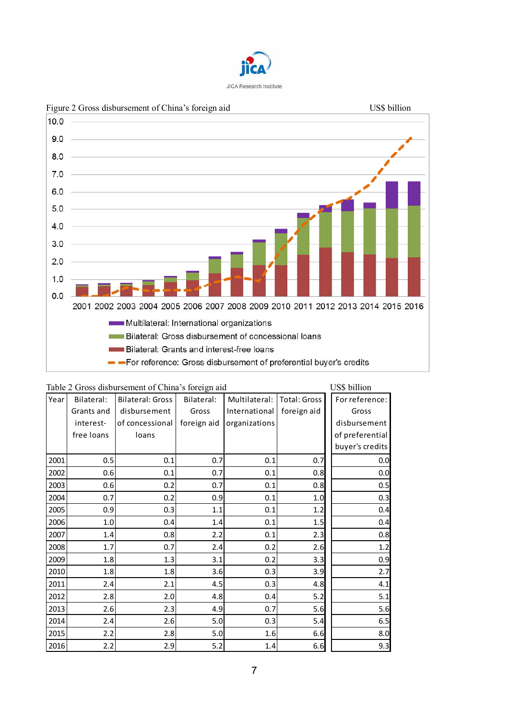



| Table 2 Gross disbursement of China's foreign aid | US\$ billion |                         |             |               |                     |                 |
|---------------------------------------------------|--------------|-------------------------|-------------|---------------|---------------------|-----------------|
| Year                                              | Bilateral:   | <b>Bilateral: Gross</b> | Bilateral:  | Multilateral: | <b>Total: Gross</b> | For reference:  |
|                                                   | Grants and   | disbursement            | Gross       | International | foreign aid         | Gross           |
|                                                   | interest-    | of concessional         | foreign aid | organizations |                     | disbursement    |
|                                                   | free loans   | loans                   |             |               |                     | of preferential |
|                                                   |              |                         |             |               |                     | buyer's credits |
| 2001                                              | 0.5          | 0.1                     | 0.7         | 0.1           | 0.7                 | 0.0             |
| 2002                                              | 0.6          | 0.1                     | 0.7         | 0.1           | 0.8                 | 0.0             |
| 2003                                              | 0.6          | 0.2                     | 0.7         | 0.1           | 0.8                 | 0.5             |
| 2004                                              | 0.7          | 0.2                     | 0.9         | 0.1           | 1.0                 | 0.3             |
| 2005                                              | 0.9          | 0.3                     | 1.1         | 0.1           | 1.2                 | 0.4             |
| 2006                                              | 1.0          | 0.4                     | 1.4         | 0.1           | 1.5                 | 0.4             |
| 2007                                              | 1.4          | 0.8                     | 2.2         | 0.1           | 2.3                 | 0.8             |
| 2008                                              | 1.7          | 0.7                     | 2.4         | 0.2           | 2.6                 | 1.2             |
| 2009                                              | 1.8          | 1.3                     | 3.1         | 0.2           | 3.3                 | 0.9             |
| 2010                                              | 1.8          | 1.8                     | 3.6         | 0.3           | 3.9                 | 2.7             |
| 2011                                              | 2.4          | 2.1                     | 4.5         | 0.3           | 4.8                 | 4.1             |
| 2012                                              | 2.8          | 2.0                     | 4.8         | 0.4           | 5.2                 | 5.1             |
| 2013                                              | 2.6          | 2.3                     | 4.9         | 0.7           | 5.6                 | 5.6             |
| 2014                                              | 2.4          | 2.6                     | 5.0         | 0.3           | 5.4                 | 6.5             |
| 2015                                              | 2.2          | 2.8                     | 5.0         | 1.6           | 6.6                 | 8.0             |
| 2016                                              | 2.2          | 2.9                     | 5.2         | 1.4           | 6.6                 | 9.3             |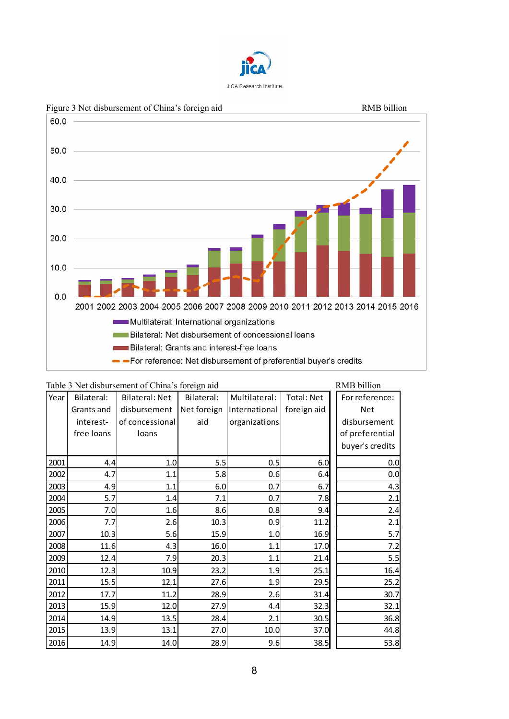



| Table 3 Net disbursement of China's foreign aid | RMB billion |                       |             |                             |             |  |                 |
|-------------------------------------------------|-------------|-----------------------|-------------|-----------------------------|-------------|--|-----------------|
| Year                                            | Bilateral:  | <b>Bilateral: Net</b> | Bilateral:  | Multilateral:<br>Total: Net |             |  | For reference:  |
|                                                 | Grants and  | disbursement          | Net foreign | International               | foreign aid |  | Net             |
|                                                 | interest-   | of concessional       | aid         | organizations               |             |  | disbursement    |
|                                                 | free loans  | loans                 |             |                             |             |  | of preferential |
|                                                 |             |                       |             |                             |             |  | buyer's credits |
| 2001                                            | 4.4         | 1.0                   | 5.5         | 0.5                         | 6.0         |  | 0.0             |
| 2002                                            | 4.7         | 1.1                   | 5.8         | 0.6                         | 6.4         |  | 0.0             |
| 2003                                            | 4.9         | 1.1                   | 6.0         | 0.7                         | 6.7         |  | 4.3             |
| 2004                                            | 5.7         | 1.4                   | 7.1         | 0.7                         | 7.8         |  | 2.1             |
| 2005                                            | 7.0         | 1.6                   | 8.6         | 0.8                         | 9.4         |  | 2.4             |
| 2006                                            | 7.7         | 2.6                   | 10.3        | 0.9                         | 11.2        |  | 2.1             |
| 2007                                            | 10.3        | 5.6                   | 15.9        | 1.0                         | 16.9        |  | 5.7             |
| 2008                                            | 11.6        | 4.3                   | 16.0        | 1.1                         | 17.0        |  | 7.2             |
| 2009                                            | 12.4        | 7.9                   | 20.3        | 1.1                         | 21.4        |  | 5.5             |
| 2010                                            | 12.3        | 10.9                  | 23.2        | 1.9                         | 25.1        |  | 16.4            |
| 2011                                            | 15.5        | 12.1                  | 27.6        | 1.9                         | 29.5        |  | 25.2            |
|                                                 |             |                       |             |                             |             |  |                 |

2012 17.7 11.2 28.9 2.6 31.4 30.7 2013 15.9 12.0 12.0 27.9 4.4 32.3 32.1 2014 14.9 13.5 28.4 2.1 30.5 36.8 2015 13.9 13.1 27.0 10.0 37.0 44.8 2016 14.9 14.0 14.0 28.9 9.6 38.5 38.5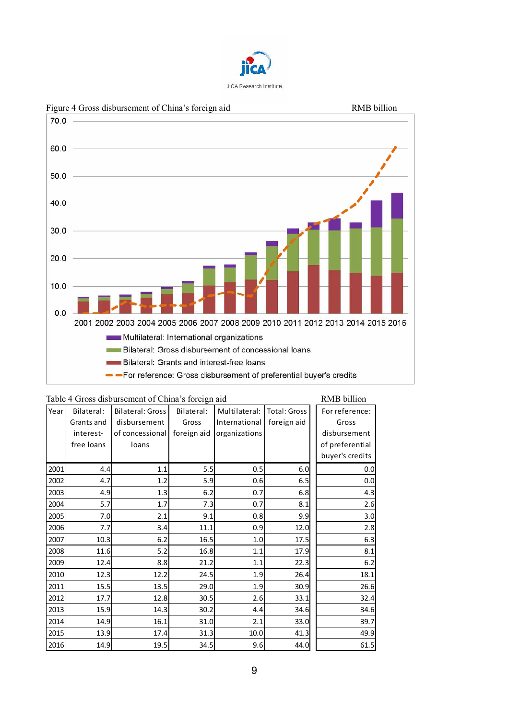



|  | Table 4 Gross disbursement of China's foreign aid |  |  |  |
|--|---------------------------------------------------|--|--|--|
|  |                                                   |  |  |  |

| Table 4 Gross disbursement of China's foreign aid<br>RMB billion |            |                         |             |               |              |                 |  |  |  |  |  |  |
|------------------------------------------------------------------|------------|-------------------------|-------------|---------------|--------------|-----------------|--|--|--|--|--|--|
| Year                                                             | Bilateral: | <b>Bilateral: Gross</b> | Bilateral:  | Multilateral: | Total: Gross | For reference:  |  |  |  |  |  |  |
|                                                                  | Grants and | disbursement            | Gross       | International | foreign aid  | Gross           |  |  |  |  |  |  |
|                                                                  | interest-  | of concessional         | foreign aid | organizations |              | disbursement    |  |  |  |  |  |  |
|                                                                  | free loans | loans                   |             |               |              | of preferential |  |  |  |  |  |  |
|                                                                  |            |                         |             |               |              | buyer's credits |  |  |  |  |  |  |
| 2001                                                             | 4.4        | 1.1                     | 5.5         | 0.5           | 6.0          | 0.0             |  |  |  |  |  |  |
| 2002                                                             | 4.7        | 1.2                     | 5.9         | 0.6           | 6.5          | 0.0             |  |  |  |  |  |  |
| 2003                                                             | 4.9        | 1.3                     | 6.2         | 0.7           | 6.8          | 4.3             |  |  |  |  |  |  |
| 2004                                                             | 5.7        | 1.7                     | 7.3         | 0.7           | 8.1          | 2.6             |  |  |  |  |  |  |
| 2005                                                             | 7.0        | 2.1                     | 9.1         | 0.8           | 9.9          | 3.0             |  |  |  |  |  |  |
| 2006                                                             | 7.7        | 3.4                     | 11.1        | 0.9           | 12.0         | 2.8             |  |  |  |  |  |  |
| 2007                                                             | 10.3       | 6.2                     | 16.5        | 1.0           | 17.5         | 6.3             |  |  |  |  |  |  |
| 2008                                                             | 11.6       | 5.2                     | 16.8        | 1.1           | 17.9         | 8.1             |  |  |  |  |  |  |
| 2009                                                             | 12.4       | 8.8                     | 21.2        | 1.1           | 22.3         | 6.2             |  |  |  |  |  |  |
| 2010                                                             | 12.3       | 12.2                    | 24.5        | 1.9           | 26.4         | 18.1            |  |  |  |  |  |  |
| 2011                                                             | 15.5       | 13.5                    | 29.0        | 1.9           | 30.9         | 26.6            |  |  |  |  |  |  |
| 2012                                                             | 17.7       | 12.8                    | 30.5        | 2.6           | 33.1         | 32.4            |  |  |  |  |  |  |
| 2013                                                             | 15.9       | 14.3                    | 30.2        | 4.4           | 34.6         | 34.6            |  |  |  |  |  |  |
| 2014                                                             | 14.9       | 16.1                    | 31.0        | 2.1           | 33.0         | 39.7            |  |  |  |  |  |  |
| 2015                                                             | 13.9       | 17.4                    | 31.3        | 10.0          | 41.3         | 49.9            |  |  |  |  |  |  |
| 2016                                                             | 14.9       | 19.5                    | 34.5        | 9.6           | 44.0         | 61.5            |  |  |  |  |  |  |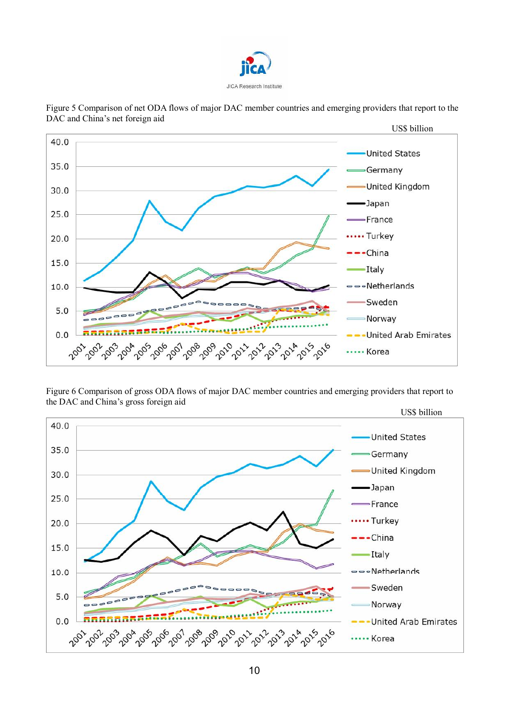



Figure 5 Comparison of net ODA flows of major DAC member countries and emerging providers that report to the DAC and China's net foreign aid

Figure 6 Comparison of gross ODA flows of major DAC member countries and emerging providers that report to the DAC and China's gross foreign aid

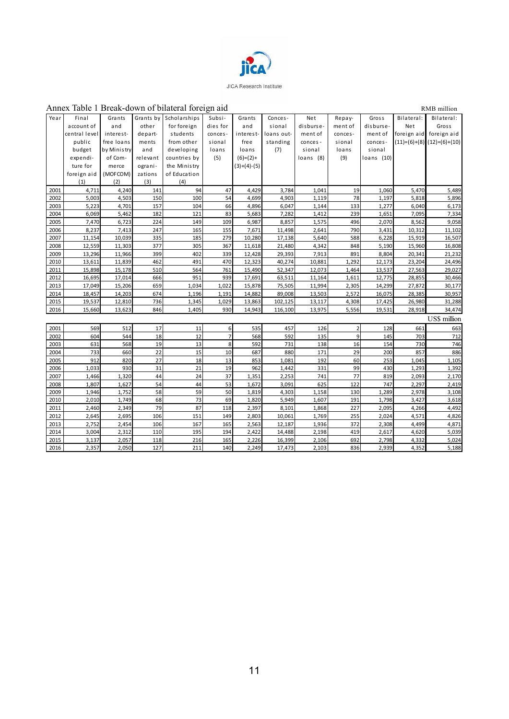

#### Annex Table 1 Break-down of bilateral foreign aid RMB million Year Final account of central level public budget expenditure for foreign aid (1) Grants and interestfree loans by Mini s try of Commerce (MOFCOM) (2) Grants by other departments and rel evant ograni zations (3) **Scholarships** for foreign s tudents from other developi ng countries by the Ministry of Educati on (4) Subsi di es for conces s ional loans (5) Grants and i nteres tfree loans  $(6)=(2)+$  $(3)+(4)-(5)$ Conces s i onal loans outs tanding (7) Net di sburs ement of conces‐ si onal loans (8) Repayment of concessi onal loans (9) Gros s dis bursement of conces s ional l oans (10) Bi lateral: Net foreign aid  $(11)=(6)+(8)$   $(12)=(6)+(10)$ Bilateral: Gross foreign ai d 2001 4,711 4,240 141 94 47 4,429 3,784 1,041 19 1,060 5,470 5,489 2002 5,003 4,503 150 100 54 4,699 4,903 1,119 78 1,197 5,818 5,896 2003 5,223 4,701 157 104 66 4,896 6,047 1,144 133 1,277 6,040 6,173 2004 6,069 5,462 182 121 83 5,683 7,282 1,412 239 1,651 7,095 7,334 2005 7,470 6,723 224 149 109 6,987 8,857 1,575 496 2,070 8,562 9,058 2006 8,237 7,413 247 165 155 7,671 11,498 2,641 790 3,431 10,312 11,102 2007 11,154 10,039 335 185 279 10,280 17,138 5,640 588 6,228 15,919 16,507 2008 12,559 11,303 377 305 367 11,618 21,480 4,342 848 5,190 15,960 16,808 2009 13,296 11,966 399 402 339 12,428 29,393 7,913 891 8,804 20,341 21,232 2010 13,611 11,839 462 491 470 12,323 40,274 10,881 1,292 12,173 23,204 24,496 2011 15,898 15,178 510 564 761 15,490 52,347 12,073 1,464 13,537 27,563 29,027 2012 16,695 17,014 666 951 939 17,691 63,511 11,164 1,611 12,775 28,855 30,466 2013 17,049 15,206 659 1,034 1,022 15,878 75,505 11,994 2,305 14,299 27,872 30,177 2014 18,457 14,203 674 1,196 1,191 14,882 89,008 13,503 2,572 16,075 28,385 30,957 2015 19,537 12,810 736 1,345 1,029 13,863 102,125 13,117 4,308 17,425 26,980 31,288 2016 15,660 13,623 846 1,405 930 14,943 116,100 13,975 5,556 19,531 28,918 34,474 US\$ million 2001 569 512 17 11 6 535 457 126 2 128 661 663 2002 604 544 18 12 7 568 592 135 9 145 703 712 2003 | 631 568 19 13 8 592 731 138 16 154 730 746 2004 733 660 22 15 10 687 880 171 29 200 857 886 2005 912 820 27 18 13 853 1,081 192 60 253 1,045 1,105 2006 1,033 930 31 21 19 962 1,442 331 99 430 1,293 1,392 2007 1,466 1,320 44 24 37 1,351 2,253 741 77 819 2,093 2,170 2008 1,807 1,627 54 44 53 1,672 3,091 625 122 747 2,297 2,419 2009 1,946 1,752 58 59 50 1,819 4,303 1,158 130 1,289 2,978 3,108 2010 2,010 1,749 68 73 69 1,820 5,949 1,607 191 1,798 3,427 3,618 2011 2,460 2,349 79 87 118 2,397 8,101 1,868 227 2,095 4,266 4,492 2012 2,645 2,695 106 151 149 2,803 10,061 1,769 255 2,024 4,571 4,826 2013 2,752 2,454 106 167 165 2,563 12,187 1,936 372 2,308 4,499 4,871 2014 3,004 2,312 110 195 194 2,422 14,488 2,198 419 2,617 4,620 5,039 2015 3,137 2,057 118 216 165 2,226 16,399 2,106 692 2,798 4,332 5,024 2016 2,357 2,050 127 211 140 2,249 17,473 2,103 836 2,939 4,352 5,188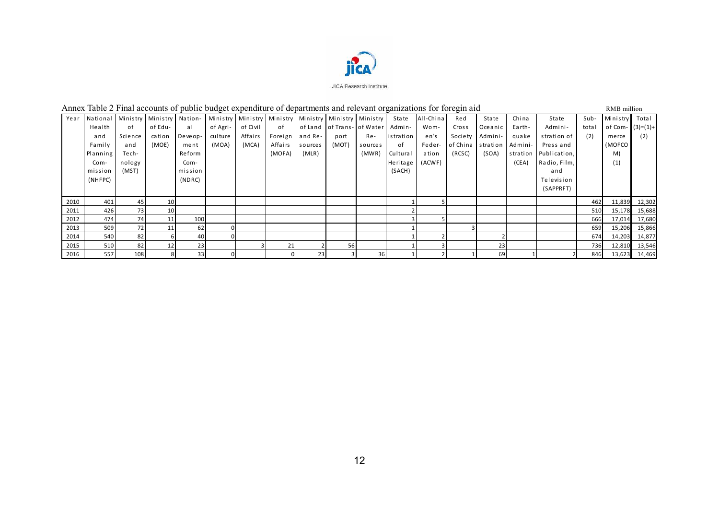

# Annex Table 2 Final accounts of public budget expenditure of departments and relevant organizations for foregin aid RMB million

| Year |          | National Ministry | Ministry        | Nation- | Ministry |          |         |         | Ministry   Ministry   Ministry   Ministry   Ministry |         | <b>State</b> | All-China | Red      | State    | China    | <b>State</b> | Sub-  | Ministry Total     |               |
|------|----------|-------------------|-----------------|---------|----------|----------|---------|---------|------------------------------------------------------|---------|--------------|-----------|----------|----------|----------|--------------|-------|--------------------|---------------|
|      | Health   | of                | of Edu-         | al      | of Agri- | of Civil | of      |         | of Land   of Trans- of Water                         |         | Admin-       | Wom-      | Cross    | Oceanic  | Earth-   | Admini-      | total | of Com- $(3)=(1)+$ |               |
|      | and      | Science           | cation          | Deveop- | culture  | Affairs  | Foreign | and Re- | port                                                 | Re-     | istration    | en's      | Society  | Admini-  | guake    | stration of  | (2)   | merce              | (2)           |
|      | Family   | and               | (MOE)           | ment    | (MOA)    | (MCA)    | Affairs | sources | (MOT)                                                | sources | of           | Feder-    | of China | stration | Admini-  | Press and    |       | (MOFCO             |               |
|      | Planning | Te ch-            |                 | Reform  |          |          | (MOFA)  | (MLR)   |                                                      | (MWR)   | Cultural     | ation     | (RCSC)   | (SOA)    | stration | Publication, |       | M)                 |               |
|      | Com-     | nology            |                 | Com-    |          |          |         |         |                                                      |         | Heritage     | (ACWF)    |          |          | (CEA)    | Radio, Film, |       | (1)                |               |
|      | mission  | (MST)             |                 | mission |          |          |         |         |                                                      |         | (SACH)       |           |          |          |          | and          |       |                    |               |
|      | (NHFPC)  |                   |                 | (NDRC)  |          |          |         |         |                                                      |         |              |           |          |          |          | Television   |       |                    |               |
|      |          |                   |                 |         |          |          |         |         |                                                      |         |              |           |          |          |          | (SAPPRFT)    |       |                    |               |
| 2010 | 401      | 45                | 10              |         |          |          |         |         |                                                      |         |              |           |          |          |          |              | 462   | 11,839             | 12,302        |
| 2011 | 426      | 73                | 10 <sup>1</sup> |         |          |          |         |         |                                                      |         |              |           |          |          |          |              | 510   | 15,178             | 15,688        |
| 2012 | 474      | 741               | 11              | 100     |          |          |         |         |                                                      |         |              |           |          |          |          |              | 666   | 17,014             | 17,680        |
| 2013 | 509      | 72                |                 | 62      |          |          |         |         |                                                      |         |              |           |          |          |          |              | 659   | 15,206             | 15,866        |
| 2014 | 540      | 82                |                 | 40      |          |          |         |         |                                                      |         |              |           |          |          |          |              | 674   | 14,203             | 14,877        |
| 2015 | 510      | 82                | 12              | 23      |          |          | 21      |         | 56                                                   |         |              |           |          | 23       |          |              | 736   | 12,810             | 13,546        |
| 2016 | 557      | 108               |                 | 33      |          |          |         | 23      |                                                      | 36      |              |           |          | 69       |          |              | 846   |                    | 13,623 14,469 |